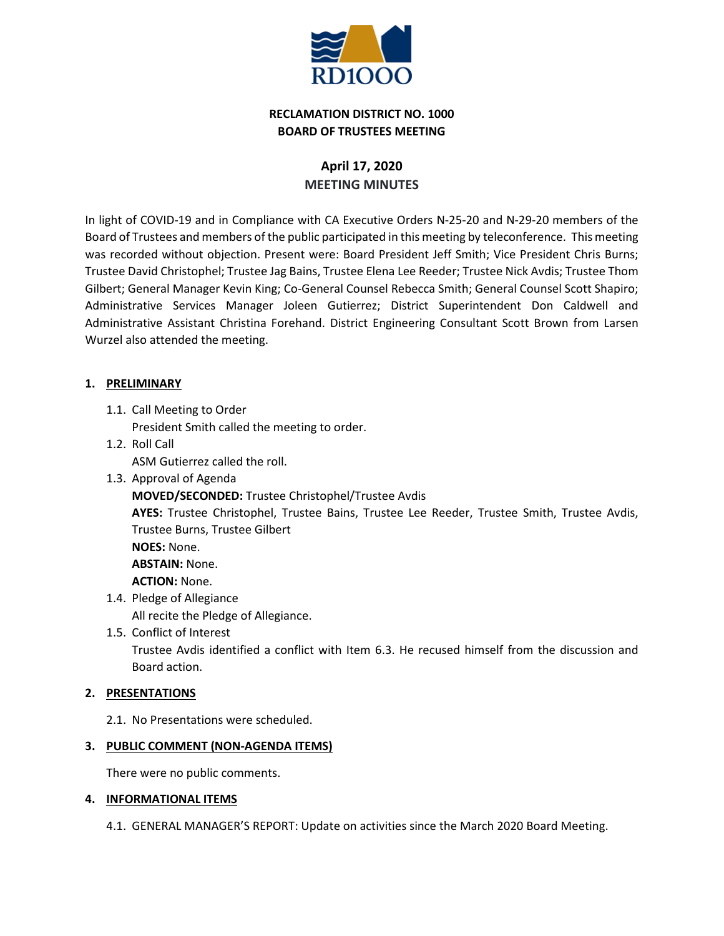

# **RECLAMATION DISTRICT NO. 1000 BOARD OF TRUSTEES MEETING**

# **April 17, 2020 MEETING MINUTES**

In light of COVID-19 and in Compliance with CA Executive Orders N-25-20 and N-29-20 members of the Board of Trustees and members of the public participated in this meeting by teleconference. This meeting was recorded without objection. Present were: Board President Jeff Smith; Vice President Chris Burns; Trustee David Christophel; Trustee Jag Bains, Trustee Elena Lee Reeder; Trustee Nick Avdis; Trustee Thom Gilbert; General Manager Kevin King; Co-General Counsel Rebecca Smith; General Counsel Scott Shapiro; Administrative Services Manager Joleen Gutierrez; District Superintendent Don Caldwell and Administrative Assistant Christina Forehand. District Engineering Consultant Scott Brown from Larsen Wurzel also attended the meeting.

## **1. PRELIMINARY**

1.1. Call Meeting to Order

President Smith called the meeting to order.

- 1.2. Roll Call ASM Gutierrez called the roll.
- 1.3. Approval of Agenda **MOVED/SECONDED:** Trustee Christophel/Trustee Avdis **AYES:** Trustee Christophel, Trustee Bains, Trustee Lee Reeder, Trustee Smith, Trustee Avdis, Trustee Burns, Trustee Gilbert **NOES:** None. **ABSTAIN:** None. **ACTION:** None. 1.4. Pledge of Allegiance
	- All recite the Pledge of Allegiance.
	- 1.5. Conflict of Interest

Trustee Avdis identified a conflict with Item 6.3. He recused himself from the discussion and Board action.

#### **2. PRESENTATIONS**

2.1. No Presentations were scheduled.

#### **3. PUBLIC COMMENT (NON-AGENDA ITEMS)**

There were no public comments.

#### **4. INFORMATIONAL ITEMS**

4.1. GENERAL MANAGER'S REPORT: Update on activities since the March 2020 Board Meeting.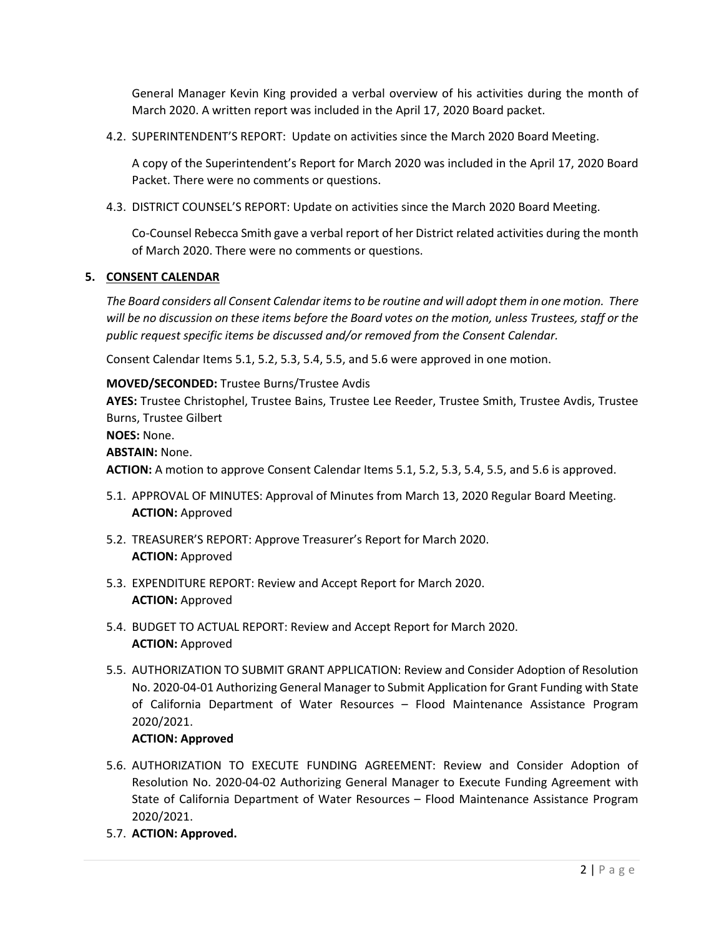General Manager Kevin King provided a verbal overview of his activities during the month of March 2020. A written report was included in the April 17, 2020 Board packet.

4.2. SUPERINTENDENT'S REPORT: Update on activities since the March 2020 Board Meeting.

A copy of the Superintendent's Report for March 2020 was included in the April 17, 2020 Board Packet. There were no comments or questions.

4.3. DISTRICT COUNSEL'S REPORT: Update on activities since the March 2020 Board Meeting.

Co-Counsel Rebecca Smith gave a verbal report of her District related activities during the month of March 2020. There were no comments or questions.

## **5. CONSENT CALENDAR**

*The Board considers all Consent Calendar items to be routine and will adopt them in one motion. There will be no discussion on these items before the Board votes on the motion, unless Trustees, staff or the public request specific items be discussed and/or removed from the Consent Calendar.*

Consent Calendar Items 5.1, 5.2, 5.3, 5.4, 5.5, and 5.6 were approved in one motion.

## **MOVED/SECONDED:** Trustee Burns/Trustee Avdis

**AYES:** Trustee Christophel, Trustee Bains, Trustee Lee Reeder, Trustee Smith, Trustee Avdis, Trustee Burns, Trustee Gilbert

## **NOES:** None.

# **ABSTAIN:** None.

**ACTION:** A motion to approve Consent Calendar Items 5.1, 5.2, 5.3, 5.4, 5.5, and 5.6 is approved.

- 5.1. APPROVAL OF MINUTES: Approval of Minutes from March 13, 2020 Regular Board Meeting. **ACTION:** Approved
- 5.2. TREASURER'S REPORT: Approve Treasurer's Report for March 2020. **ACTION:** Approved
- 5.3. EXPENDITURE REPORT: Review and Accept Report for March 2020. **ACTION:** Approved
- 5.4. BUDGET TO ACTUAL REPORT: Review and Accept Report for March 2020. **ACTION:** Approved
- 5.5. AUTHORIZATION TO SUBMIT GRANT APPLICATION: Review and Consider Adoption of Resolution No. 2020-04-01 Authorizing General Manager to Submit Application for Grant Funding with State of California Department of Water Resources – Flood Maintenance Assistance Program 2020/2021.

# **ACTION: Approved**

- 5.6. AUTHORIZATION TO EXECUTE FUNDING AGREEMENT: Review and Consider Adoption of Resolution No. 2020-04-02 Authorizing General Manager to Execute Funding Agreement with State of California Department of Water Resources – Flood Maintenance Assistance Program 2020/2021.
- 5.7. **ACTION: Approved.**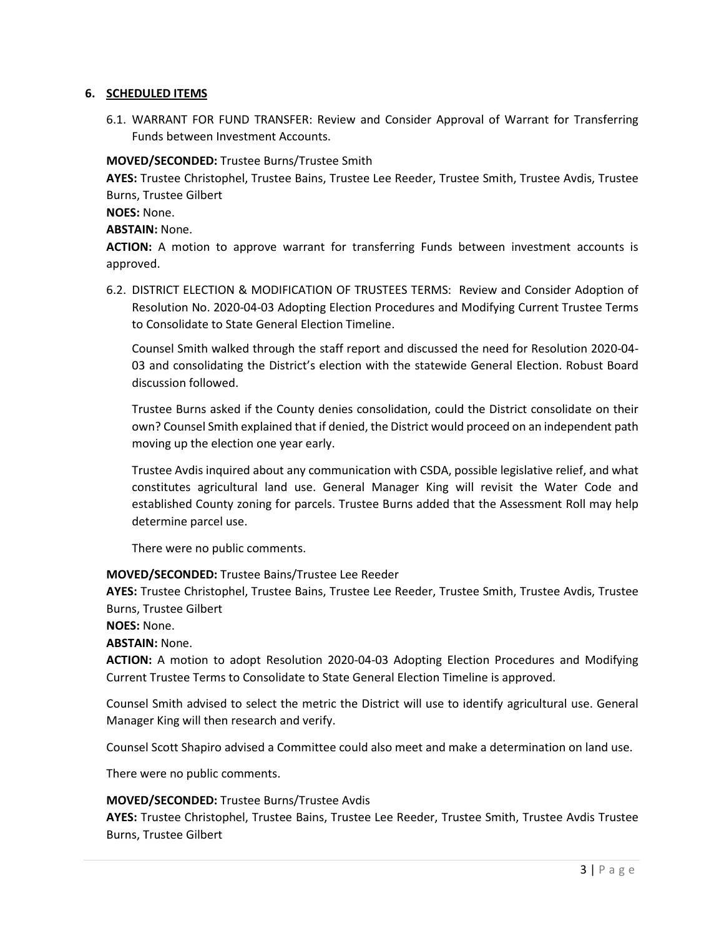#### **6. SCHEDULED ITEMS**

6.1. WARRANT FOR FUND TRANSFER: Review and Consider Approval of Warrant for Transferring Funds between Investment Accounts.

## **MOVED/SECONDED:** Trustee Burns/Trustee Smith

**AYES:** Trustee Christophel, Trustee Bains, Trustee Lee Reeder, Trustee Smith, Trustee Avdis, Trustee Burns, Trustee Gilbert

## **NOES:** None.

## **ABSTAIN:** None.

**ACTION:** A motion to approve warrant for transferring Funds between investment accounts is approved.

6.2. DISTRICT ELECTION & MODIFICATION OF TRUSTEES TERMS: Review and Consider Adoption of Resolution No. 2020-04-03 Adopting Election Procedures and Modifying Current Trustee Terms to Consolidate to State General Election Timeline.

Counsel Smith walked through the staff report and discussed the need for Resolution 2020-04- 03 and consolidating the District's election with the statewide General Election. Robust Board discussion followed.

Trustee Burns asked if the County denies consolidation, could the District consolidate on their own? Counsel Smith explained that if denied, the District would proceed on an independent path moving up the election one year early.

Trustee Avdis inquired about any communication with CSDA, possible legislative relief, and what constitutes agricultural land use. General Manager King will revisit the Water Code and established County zoning for parcels. Trustee Burns added that the Assessment Roll may help determine parcel use.

There were no public comments.

# **MOVED/SECONDED:** Trustee Bains/Trustee Lee Reeder

**AYES:** Trustee Christophel, Trustee Bains, Trustee Lee Reeder, Trustee Smith, Trustee Avdis, Trustee Burns, Trustee Gilbert

**NOES:** None.

**ABSTAIN:** None.

**ACTION:** A motion to adopt Resolution 2020-04-03 Adopting Election Procedures and Modifying Current Trustee Terms to Consolidate to State General Election Timeline is approved.

Counsel Smith advised to select the metric the District will use to identify agricultural use. General Manager King will then research and verify.

Counsel Scott Shapiro advised a Committee could also meet and make a determination on land use.

There were no public comments.

#### **MOVED/SECONDED:** Trustee Burns/Trustee Avdis

**AYES:** Trustee Christophel, Trustee Bains, Trustee Lee Reeder, Trustee Smith, Trustee Avdis Trustee Burns, Trustee Gilbert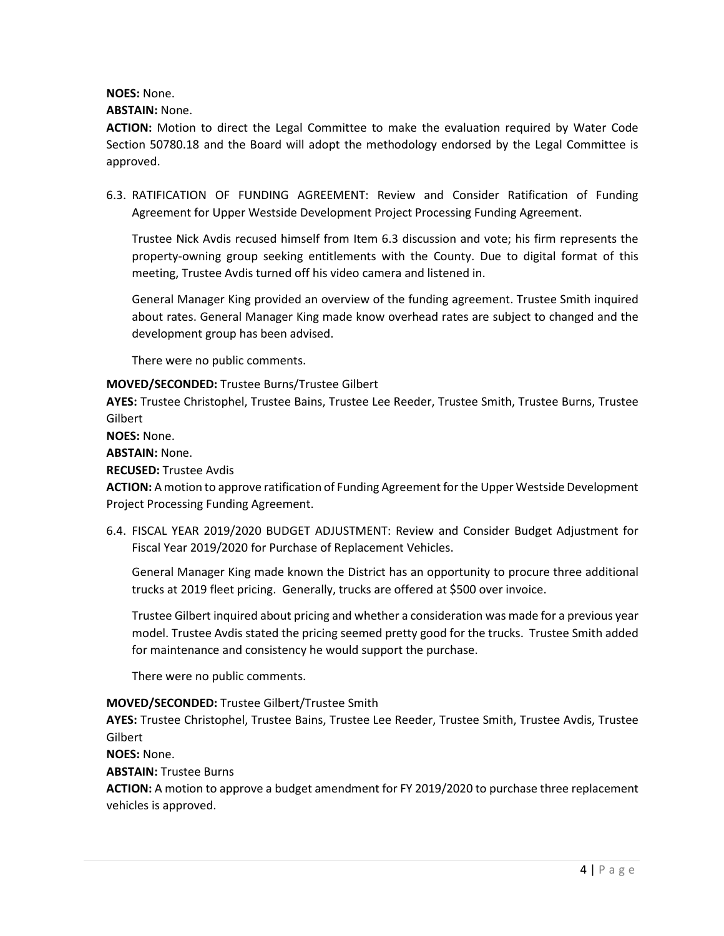**NOES:** None.

#### **ABSTAIN:** None.

**ACTION:** Motion to direct the Legal Committee to make the evaluation required by Water Code Section 50780.18 and the Board will adopt the methodology endorsed by the Legal Committee is approved.

6.3. RATIFICATION OF FUNDING AGREEMENT: Review and Consider Ratification of Funding Agreement for Upper Westside Development Project Processing Funding Agreement.

Trustee Nick Avdis recused himself from Item 6.3 discussion and vote; his firm represents the property-owning group seeking entitlements with the County. Due to digital format of this meeting, Trustee Avdis turned off his video camera and listened in.

General Manager King provided an overview of the funding agreement. Trustee Smith inquired about rates. General Manager King made know overhead rates are subject to changed and the development group has been advised.

There were no public comments.

#### **MOVED/SECONDED:** Trustee Burns/Trustee Gilbert

**AYES:** Trustee Christophel, Trustee Bains, Trustee Lee Reeder, Trustee Smith, Trustee Burns, Trustee Gilbert

**NOES:** None.

**ABSTAIN:** None.

**RECUSED:** Trustee Avdis

**ACTION:** A motion to approve ratification of Funding Agreement for the Upper Westside Development Project Processing Funding Agreement.

6.4. FISCAL YEAR 2019/2020 BUDGET ADJUSTMENT: Review and Consider Budget Adjustment for Fiscal Year 2019/2020 for Purchase of Replacement Vehicles.

General Manager King made known the District has an opportunity to procure three additional trucks at 2019 fleet pricing. Generally, trucks are offered at \$500 over invoice.

Trustee Gilbert inquired about pricing and whether a consideration was made for a previous year model. Trustee Avdis stated the pricing seemed pretty good for the trucks. Trustee Smith added for maintenance and consistency he would support the purchase.

There were no public comments.

#### **MOVED/SECONDED:** Trustee Gilbert/Trustee Smith

**AYES:** Trustee Christophel, Trustee Bains, Trustee Lee Reeder, Trustee Smith, Trustee Avdis, Trustee **Gilbert** 

**NOES:** None.

**ABSTAIN:** Trustee Burns

**ACTION:** A motion to approve a budget amendment for FY 2019/2020 to purchase three replacement vehicles is approved.